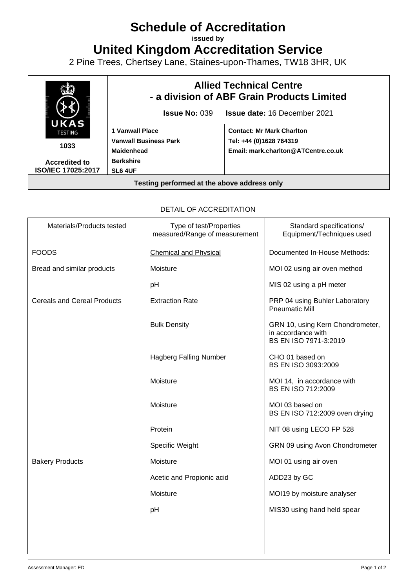## **Schedule of Accreditation**

**issued by**

**United Kingdom Accreditation Service**

2 Pine Trees, Chertsey Lane, Staines-upon-Thames, TW18 3HR, UK



## DETAIL OF ACCREDITATION

| Materials/Products tested          | Type of test/Properties<br>measured/Range of measurement | Standard specifications/<br>Equipment/Techniques used                           |
|------------------------------------|----------------------------------------------------------|---------------------------------------------------------------------------------|
| <b>FOODS</b>                       | <b>Chemical and Physical</b>                             | Documented In-House Methods:                                                    |
| Bread and similar products         | Moisture                                                 | MOI 02 using air oven method                                                    |
|                                    | pH                                                       | MIS 02 using a pH meter                                                         |
| <b>Cereals and Cereal Products</b> | <b>Extraction Rate</b>                                   | PRP 04 using Buhler Laboratory<br><b>Pneumatic Mill</b>                         |
|                                    | <b>Bulk Density</b>                                      | GRN 10, using Kern Chondrometer,<br>in accordance with<br>BS EN ISO 7971-3:2019 |
|                                    | <b>Hagberg Falling Number</b>                            | CHO 01 based on<br>BS EN ISO 3093:2009                                          |
|                                    | Moisture                                                 | MOI 14, in accordance with<br><b>BS EN ISO 712:2009</b>                         |
|                                    | Moisture                                                 | MOI 03 based on<br>BS EN ISO 712:2009 oven drying                               |
|                                    | Protein                                                  | NIT 08 using LECO FP 528                                                        |
|                                    | Specific Weight                                          | GRN 09 using Avon Chondrometer                                                  |
| <b>Bakery Products</b>             | Moisture                                                 | MOI 01 using air oven                                                           |
|                                    | Acetic and Propionic acid                                | ADD23 by GC                                                                     |
|                                    | Moisture                                                 | MOI19 by moisture analyser                                                      |
|                                    | pH                                                       | MIS30 using hand held spear                                                     |
|                                    |                                                          |                                                                                 |
|                                    |                                                          |                                                                                 |